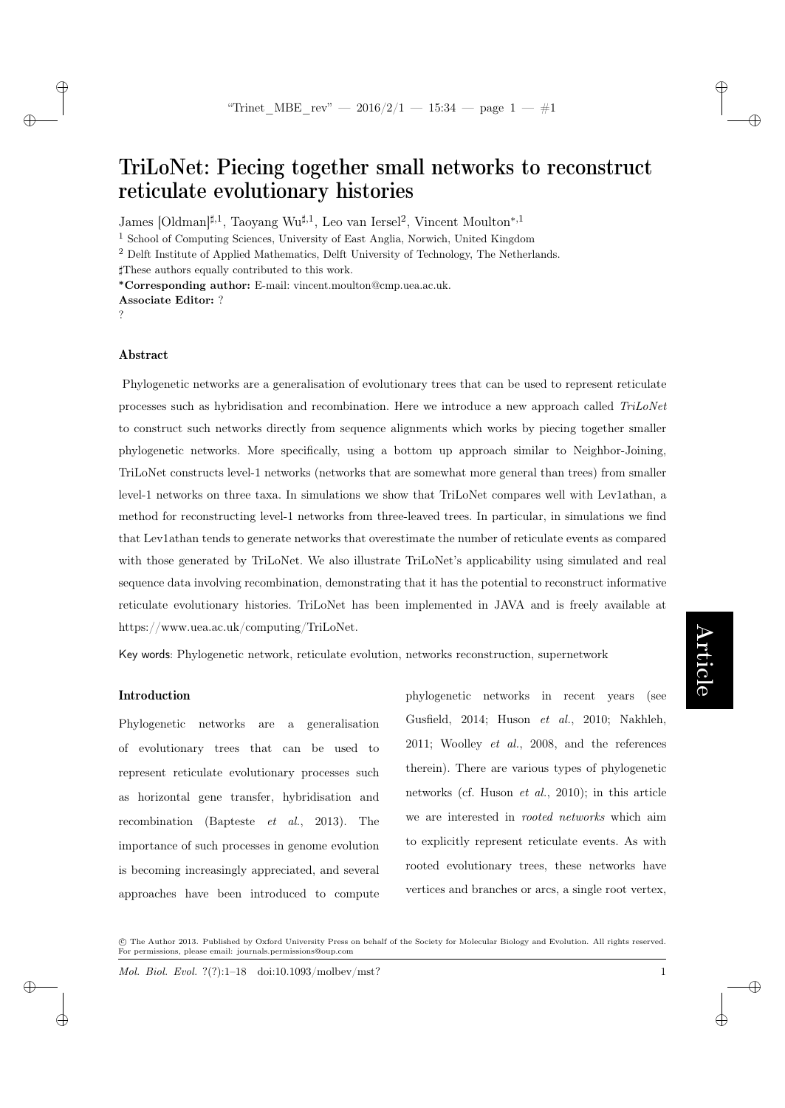TriLoNet: Piecing together small networks to reconstruct reticulate evolutionary histories

James [Oldman]<sup>‡,1</sup>, Taoyang Wu<sup>‡,1</sup>, Leo van Iersel<sup>2</sup>, Vincent Moulton<sup>∗,1</sup>

<sup>1</sup> School of Computing Sciences, University of East Anglia, Norwich, United Kingdom

<sup>2</sup> Delft Institute of Applied Mathematics, Delft University of Technology, The Netherlands.

]These authors equally contributed to this work.

<sup>∗</sup>Corresponding author: E-mail: vincent.moulton@cmp.uea.ac.uk.

?

 $\rightarrow$ 

 $\rightarrow$ 

✐

✐

## Abstract

Phylogenetic networks are a generalisation of evolutionary trees that can be used to represent reticulate processes such as hybridisation and recombination. Here we introduce a new approach called TriLoNet to construct such networks directly from sequence alignments which works by piecing together smaller phylogenetic networks. More specifically, using a bottom up approach similar to Neighbor-Joining, TriLoNet constructs level-1 networks (networks that are somewhat more general than trees) from smaller level-1 networks on three taxa. In simulations we show that TriLoNet compares well with Lev1athan, a method for reconstructing level-1 networks from three-leaved trees. In particular, in simulations we find that Lev1athan tends to generate networks that overestimate the number of reticulate events as compared with those generated by TriLoNet. We also illustrate TriLoNet's applicability using simulated and real sequence data involving recombination, demonstrating that it has the potential to reconstruct informative reticulate evolutionary histories. TriLoNet has been implemented in JAVA and is freely available at https://www.uea.ac.uk/computing/TriLoNet.

Key words: Phylogenetic network, reticulate evolution, networks reconstruction, supernetwork

## Introduction

Phylogenetic networks are a generalisation of evolutionary trees that can be used to represent reticulate evolutionary processes such as horizontal gene transfer, hybridisation and recombination (Bapteste et al., 2013). The importance of such processes in genome evolution is becoming increasingly appreciated, and several approaches have been introduced to compute phylogenetic networks in recent years (see Gusfield, 2014; Huson et al., 2010; Nakhleh, 2011; Woolley et al., 2008, and the references therein). There are various types of phylogenetic networks (cf. Huson et al., 2010); in this article we are interested in rooted networks which aim to explicitly represent reticulate events. As with rooted evolutionary trees, these networks have vertices and branches or arcs, a single root vertex,

 c The Author 2013. Published by Oxford University Press on behalf of the Society for Molecular Biology and Evolution. All rights reserved. For permissions, please email: journals.permissions@oup.com

Mol. Biol. Evol. ?(?):1–18 doi:10.1093/molbev/mst? 1

✐

✐

✐

Associate Editor: ?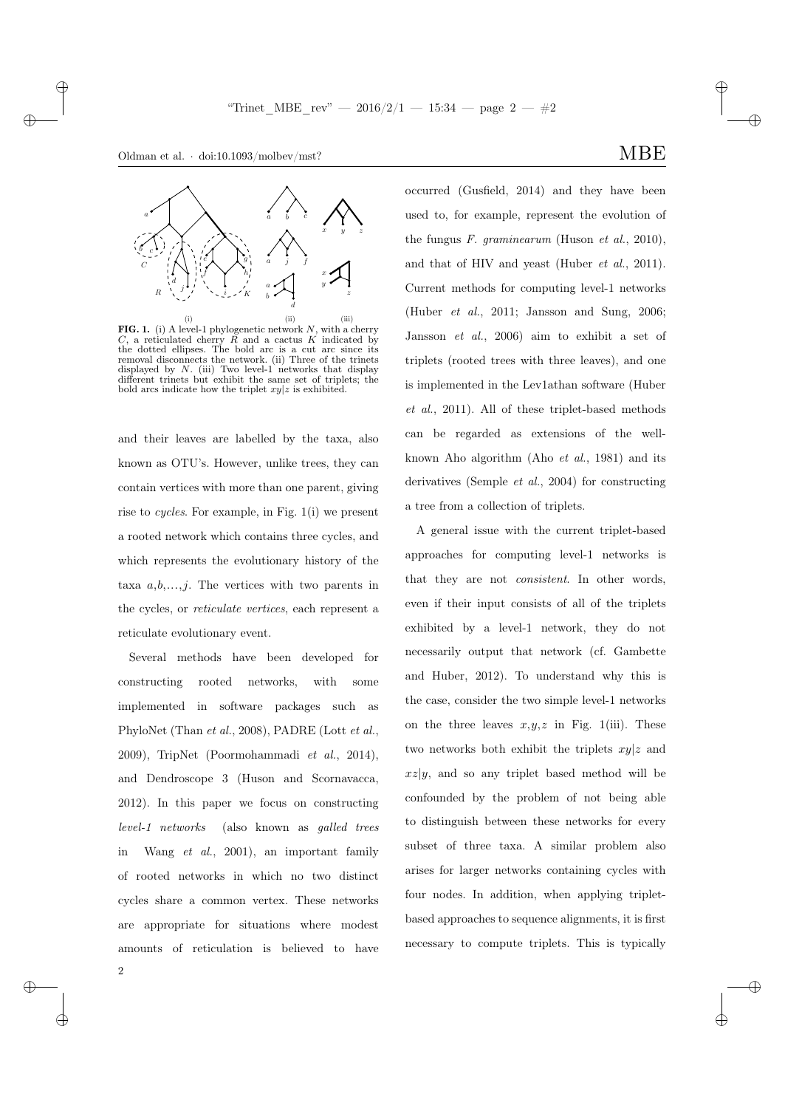✐



**FIG. 1.** (i) A level-1 phylogenetic network  $N$ , with a cherry  $C$ , a reticulated cherry  $R$  and a cactus  $K$  indicated by the dotted ellipses. The bold arc is a cut arc since its removal disconnects the network. (ii) Three of the trinets displayed by N. (iii) Two level-1 networks that display different trinets but exhibit the same set of triplets; the bold arcs indicate how the triplet  $xy|z$  is exhibited.

and their leaves are labelled by the taxa, also known as OTU's. However, unlike trees, they can contain vertices with more than one parent, giving rise to cycles. For example, in Fig. 1(i) we present a rooted network which contains three cycles, and which represents the evolutionary history of the taxa  $a, b, \ldots, j$ . The vertices with two parents in the cycles, or reticulate vertices, each represent a reticulate evolutionary event.

Several methods have been developed for constructing rooted networks, with some implemented in software packages such as PhyloNet (Than et al., 2008), PADRE (Lott et al., 2009), TripNet (Poormohammadi et al., 2014), and Dendroscope 3 (Huson and Scornavacca, 2012). In this paper we focus on constructing level-1 networks (also known as galled trees in Wang et al., 2001), an important family of rooted networks in which no two distinct cycles share a common vertex. These networks are appropriate for situations where modest amounts of reticulation is believed to have

occurred (Gusfield, 2014) and they have been used to, for example, represent the evolution of the fungus  $F.$  graminearum (Huson et al., 2010), and that of HIV and yeast (Huber et al., 2011). Current methods for computing level-1 networks (Huber et al., 2011; Jansson and Sung, 2006; Jansson et al., 2006) aim to exhibit a set of triplets (rooted trees with three leaves), and one is implemented in the Lev1athan software (Huber et al., 2011). All of these triplet-based methods can be regarded as extensions of the wellknown Aho algorithm (Aho et al., 1981) and its derivatives (Semple et al., 2004) for constructing a tree from a collection of triplets.

A general issue with the current triplet-based approaches for computing level-1 networks is that they are not consistent. In other words, even if their input consists of all of the triplets exhibited by a level-1 network, they do not necessarily output that network (cf. Gambette and Huber, 2012). To understand why this is the case, consider the two simple level-1 networks on the three leaves  $x,y,z$  in Fig. 1(iii). These two networks both exhibit the triplets  $xy|z$  and  $xz|y$ , and so any triplet based method will be confounded by the problem of not being able to distinguish between these networks for every subset of three taxa. A similar problem also arises for larger networks containing cycles with four nodes. In addition, when applying tripletbased approaches to sequence alignments, it is first necessary to compute triplets. This is typically

✐

✐

✐

✐

2

 $\rightarrow$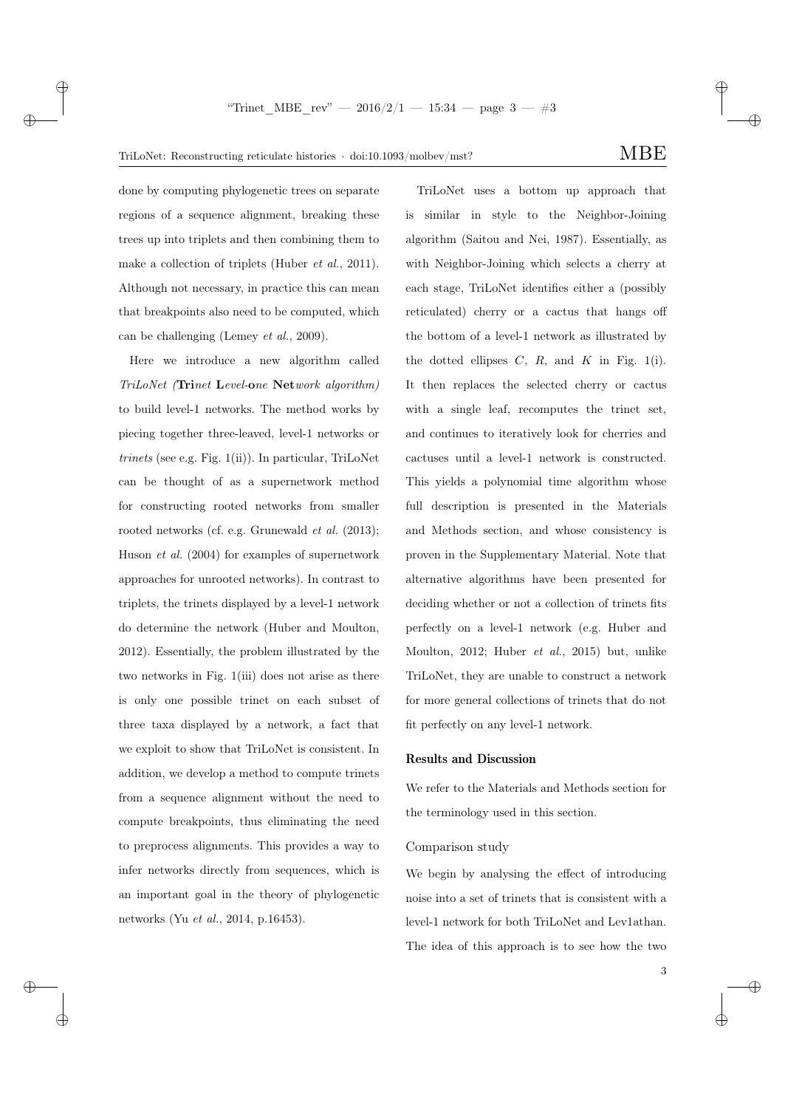✐

done by computing phylogenetic trees on separate regions of a sequence alignment, breaking these trees up into triplets and then combining them to make a collection of triplets (Huber *et al.*, 2011). Although not necessary, in practice this can mean that breakpoints also need to be computed, which can be challenging (Lemey et al., 2009).

 $\rightarrow$ 

 $\rightarrow$ 

✐

✐

Here we introduce a new algorithm called TriLoNet (Trinet Level-one Network algorithm) to build level-1 networks. The method works by piecing together three-leaved, level-1 networks or  $trinets$  (see e.g. Fig.  $1(ii)$ ). In particular, TriLoNet can be thought of as a supernetwork method for constructing rooted networks from smaller rooted networks (cf. e.g. Grunewald et al. (2013); Huson et al. (2004) for examples of supernetwork approaches for unrooted networks). In contrast to triplets, the trinets displayed by a level-1 network do determine the network (Huber and Moulton, 2012). Essentially, the problem illustrated by the two networks in Fig. 1(iii) does not arise as there is only one possible trinet on each subset of three taxa displayed by a network, a fact that we exploit to show that TriLoNet is consistent. In addition, we develop a method to compute trinets from a sequence alignment without the need to compute breakpoints, thus eliminating the need to preprocess alignments. This provides a way to infer networks directly from sequences, which is an important goal in the theory of phylogenetic networks (Yu et al., 2014, p.16453).

TriLoNet uses a bottom up approach that is similar in style to the Neighbor-Joining algorithm (Saitou and Nei, 1987). Essentially, as with Neighbor-Joining which selects a cherry at each stage, TriLoNet identifies either a (possibly reticulated) cherry or a cactus that hangs off the bottom of a level-1 network as illustrated by the dotted ellipses  $C$ ,  $R$ , and  $K$  in Fig. 1(i). It then replaces the selected cherry or cactus with a single leaf, recomputes the trinet set, and continues to iteratively look for cherries and cactuses until a level-1 network is constructed. This yields a polynomial time algorithm whose full description is presented in the Materials and Methods section, and whose consistency is proven in the Supplementary Material. Note that alternative algorithms have been presented for deciding whether or not a collection of trinets fits perfectly on a level-1 network (e.g. Huber and Moulton, 2012; Huber et al., 2015) but, unlike TriLoNet, they are unable to construct a network for more general collections of trinets that do not fit perfectly on any level-1 network.

#### Results and Discussion

We refer to the Materials and Methods section for the terminology used in this section.

## Comparison study

We begin by analysing the effect of introducing noise into a set of trinets that is consistent with a level-1 network for both TriLoNet and Lev1athan. The idea of this approach is to see how the two

3

✐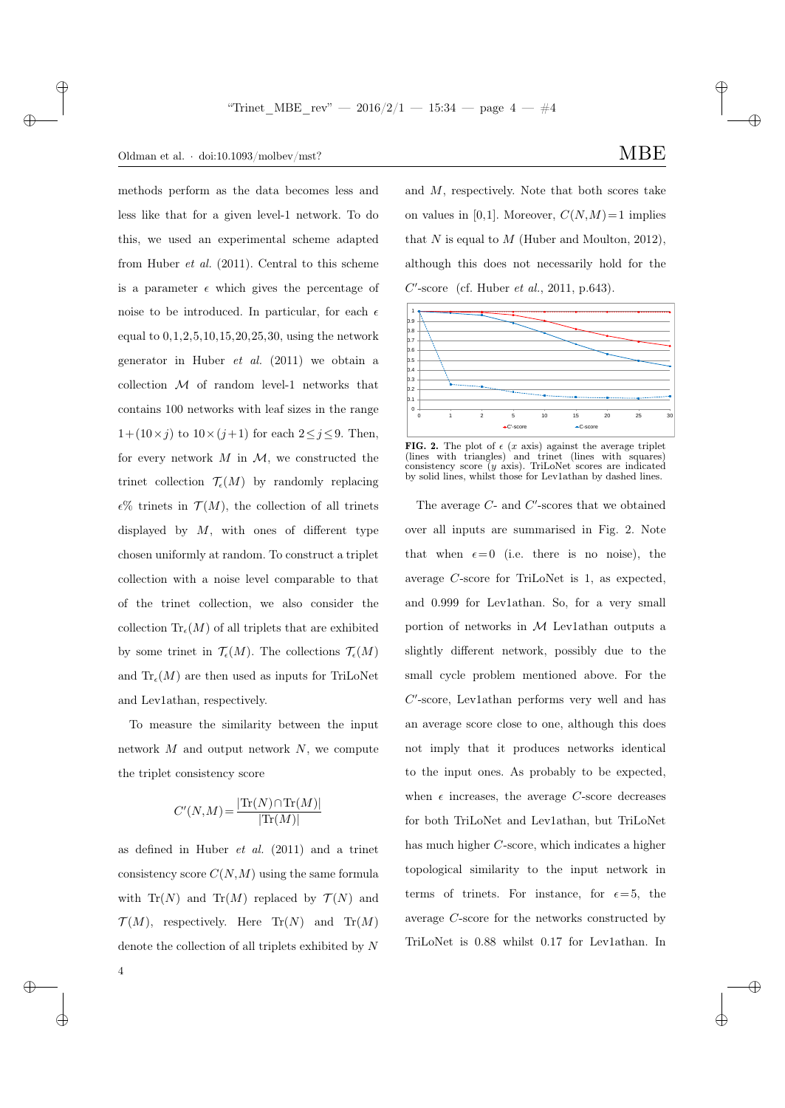## Oldman et al.  $\cdot$  doi:10.1093/molbev/mst? MBE

 $\rightarrow$ 

✐

methods perform as the data becomes less and less like that for a given level-1 network. To do this, we used an experimental scheme adapted from Huber et al. (2011). Central to this scheme is a parameter  $\epsilon$  which gives the percentage of noise to be introduced. In particular, for each  $\epsilon$ equal to 0,1,2,5,10,15,20,25,30, using the network generator in Huber et al. (2011) we obtain a collection  $M$  of random level-1 networks that contains 100 networks with leaf sizes in the range  $1+(10\times j)$  to  $10\times (j+1)$  for each  $2\leq j\leq 9$ . Then, for every network  $M$  in  $\mathcal{M}$ , we constructed the trinet collection  $\mathcal{T}_{\epsilon}(M)$  by randomly replacing  $\epsilon$ % trinets in  $\mathcal{T}(M)$ , the collection of all trinets displayed by  $M$ , with ones of different type chosen uniformly at random. To construct a triplet collection with a noise level comparable to that of the trinet collection, we also consider the collection  $\text{Tr}_{\epsilon}(M)$  of all triplets that are exhibited by some trinet in  $\mathcal{T}_{\epsilon}(M)$ . The collections  $\mathcal{T}_{\epsilon}(M)$ and  $\text{Tr}_{\epsilon}(M)$  are then used as inputs for TriLoNet and Lev1athan, respectively.

To measure the similarity between the input network  $M$  and output network  $N$ , we compute the triplet consistency score

$$
C'(N,M) = \frac{|\text{Tr}(N) \cap \text{Tr}(M)|}{|\text{Tr}(M)|}
$$

as defined in Huber et al. (2011) and a trinet consistency score  $C(N,M)$  using the same formula with  $\text{Tr}(N)$  and  $\text{Tr}(M)$  replaced by  $\mathcal{T}(N)$  and  $\mathcal{T}(M)$ , respectively. Here  $\text{Tr}(N)$  and  $\text{Tr}(M)$ denote the collection of all triplets exhibited by N ✐

✐

✐

✐

and M, respectively. Note that both scores take on values in [0,1]. Moreover,  $C(N,M)=1$  implies that N is equal to M (Huber and Moulton, 2012), although this does not necessarily hold for the  $C'$ -score (cf. Huber et al., 2011, p.643).



**FIG. 2.** The plot of  $\epsilon$  (*x* axis) against the average triplet (lines with triangles) and trinet (lines with squares) and trinet (lines with consistency score (y axis). TriLoNet scores are indicated by solid lines, whilst those for Lev1athan by dashed lines.

The average  $C$ - and  $C'$ -scores that we obtained over all inputs are summarised in Fig. 2. Note that when  $\epsilon = 0$  (i.e. there is no noise), the average C-score for TriLoNet is 1, as expected, and 0.999 for Lev1athan. So, for a very small portion of networks in  $M$  Lev1athan outputs a slightly different network, possibly due to the small cycle problem mentioned above. For the C'-score, Lev1athan performs very well and has an average score close to one, although this does not imply that it produces networks identical to the input ones. As probably to be expected, when  $\epsilon$  increases, the average C-score decreases for both TriLoNet and Lev1athan, but TriLoNet has much higher C-score, which indicates a higher topological similarity to the input network in terms of trinets. For instance, for  $\epsilon = 5$ , the average C-score for the networks constructed by TriLoNet is 0.88 whilst 0.17 for Lev1athan. In

4

 $\rightarrow$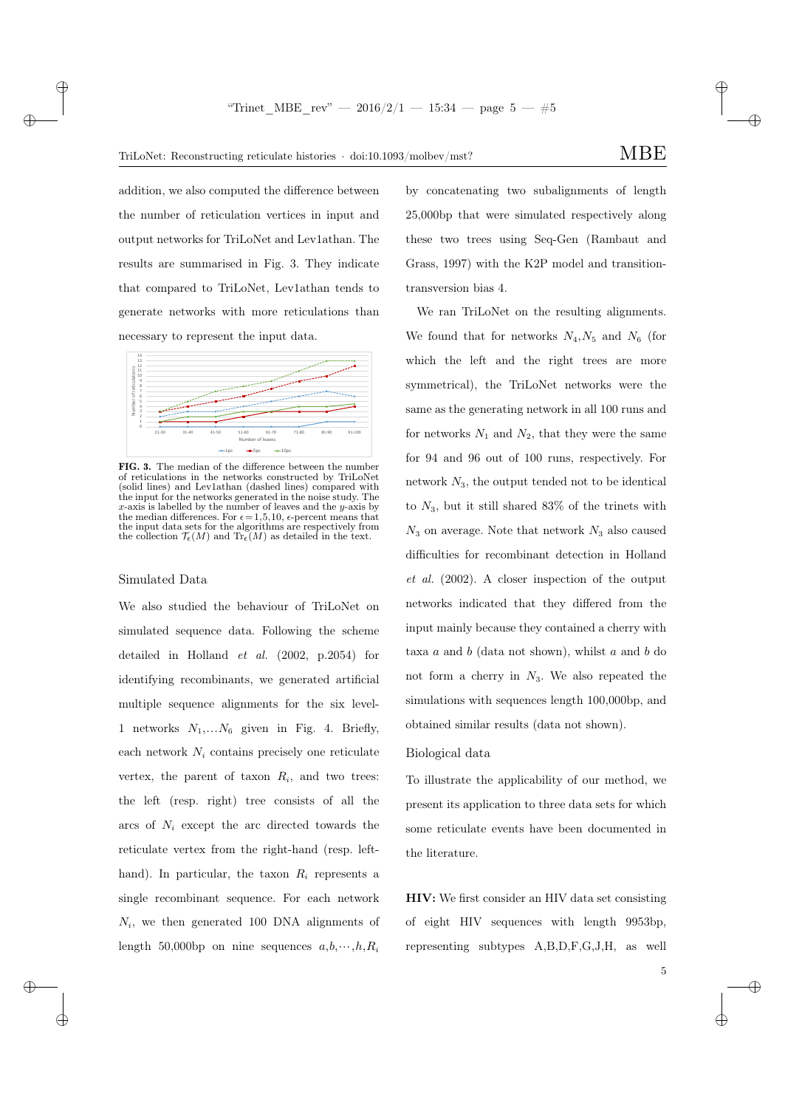✐

addition, we also computed the difference between the number of reticulation vertices in input and output networks for TriLoNet and Lev1athan. The results are summarised in Fig. 3. They indicate that compared to TriLoNet, Lev1athan tends to generate networks with more reticulations than necessary to represent the input data.



FIG. 3. The median of the difference between the number of reticulations in the networks constructed by TriLoNet (solid lines) and Lev1athan (dashed lines) compared with the input for the networks generated in the noise study. The  $x$ -axis is labelled by the number of leaves and the  $y$ -axis by the median differences. For  $\epsilon = 1,5,10$ ,  $\epsilon$ -percent means that the input data sets for the algorithms are respectively from the collection  $\mathcal{T}_{\epsilon}(M)$  and  $\text{Tr}_{\epsilon}(M)$  as detailed in the text.

#### Simulated Data

 $\rightarrow$ 

 $\rightarrow$ 

 $\oplus$ 

✐

We also studied the behaviour of TriLoNet on simulated sequence data. Following the scheme detailed in Holland et al. (2002, p.2054) for identifying recombinants, we generated artificial multiple sequence alignments for the six level-1 networks  $N_1,...N_6$  given in Fig. 4. Briefly, each network  $N_i$  contains precisely one reticulate vertex, the parent of taxon  $R_i$ , and two trees: the left (resp. right) tree consists of all the arcs of  $N_i$  except the arc directed towards the reticulate vertex from the right-hand (resp. lefthand). In particular, the taxon  $R_i$  represents a single recombinant sequence. For each network  $N_i$ , we then generated 100 DNA alignments of length 50,000bp on nine sequences  $a,b,\cdots,h,R_i$ 

by concatenating two subalignments of length 25,000bp that were simulated respectively along these two trees using Seq-Gen (Rambaut and Grass, 1997) with the K2P model and transitiontransversion bias 4.

We ran TriLoNet on the resulting alignments. We found that for networks  $N_4, N_5$  and  $N_6$  (for which the left and the right trees are more symmetrical), the TriLoNet networks were the same as the generating network in all 100 runs and for networks  $N_1$  and  $N_2$ , that they were the same for 94 and 96 out of 100 runs, respectively. For network  $N_3$ , the output tended not to be identical to  $N_3$ , but it still shared 83% of the trinets with  $N_3$  on average. Note that network  $N_3$  also caused difficulties for recombinant detection in Holland et al. (2002). A closer inspection of the output networks indicated that they differed from the input mainly because they contained a cherry with taxa  $a$  and  $b$  (data not shown), whilst  $a$  and  $b$  do not form a cherry in  $N_3$ . We also repeated the simulations with sequences length 100,000bp, and obtained similar results (data not shown).

### Biological data

To illustrate the applicability of our method, we present its application to three data sets for which some reticulate events have been documented in the literature.

HIV: We first consider an HIV data set consisting of eight HIV sequences with length 9953bp, representing subtypes A,B,D,F,G,J,H, as well

5

✐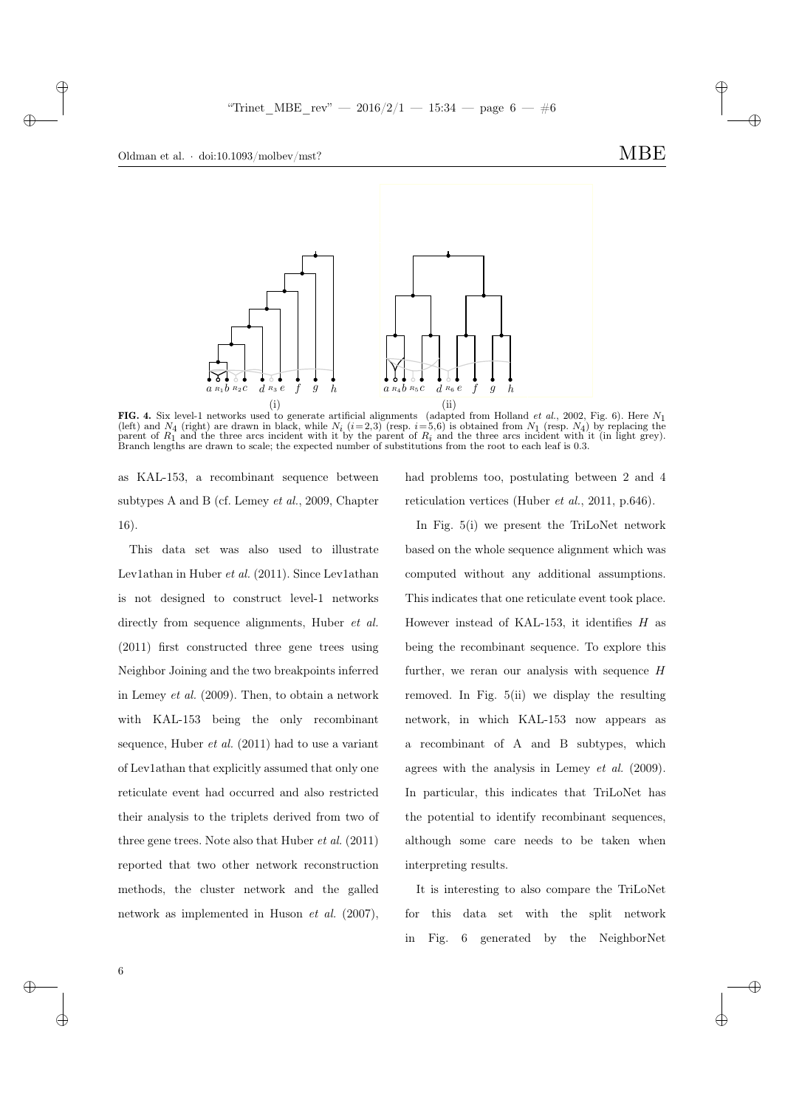



FIG. 4. Six level-1 networks used to generate artificial alignments (adapted from Holland *et al.*, 2002, Fig. 6). Here  $N_1$ (left) and  $N_4$  (right) are drawn in black, while  $N_i$  ( $i=2,3$ ) (resp.  $i=5,6$ ) is obtained from  $N_1$  (resp.  $N_4$ ) by replacing the parent of  $R_1$  and the three arcs incident with it by the parent of  $R_i$  and the three arcs incident with it (in light grey).<br>Branch lengths are drawn to scale; the expected number of substitutions from the root to each

as KAL-153, a recombinant sequence between subtypes A and B (cf. Lemey et al., 2009, Chapter 16).

This data set was also used to illustrate Lev1athan in Huber  $et$  al. (2011). Since Lev1athan is not designed to construct level-1 networks directly from sequence alignments, Huber *et al.* (2011) first constructed three gene trees using Neighbor Joining and the two breakpoints inferred in Lemey et al. (2009). Then, to obtain a network with KAL-153 being the only recombinant sequence, Huber et al. (2011) had to use a variant of Lev1athan that explicitly assumed that only one reticulate event had occurred and also restricted their analysis to the triplets derived from two of three gene trees. Note also that Huber et al. (2011) reported that two other network reconstruction methods, the cluster network and the galled network as implemented in Huson et al. (2007),

had problems too, postulating between 2 and 4 reticulation vertices (Huber *et al.*, 2011, p.646).

In Fig. 5(i) we present the TriLoNet network based on the whole sequence alignment which was computed without any additional assumptions. This indicates that one reticulate event took place. However instead of KAL-153, it identifies  $H$  as being the recombinant sequence. To explore this further, we reran our analysis with sequence  $H$ removed. In Fig. 5(ii) we display the resulting network, in which KAL-153 now appears as a recombinant of A and B subtypes, which agrees with the analysis in Lemey et al. (2009). In particular, this indicates that TriLoNet has the potential to identify recombinant sequences, although some care needs to be taken when interpreting results.

It is interesting to also compare the TriLoNet for this data set with the split network in Fig. 6 generated by the NeighborNet

6

 $\rightarrow$ 

✐

✐

✐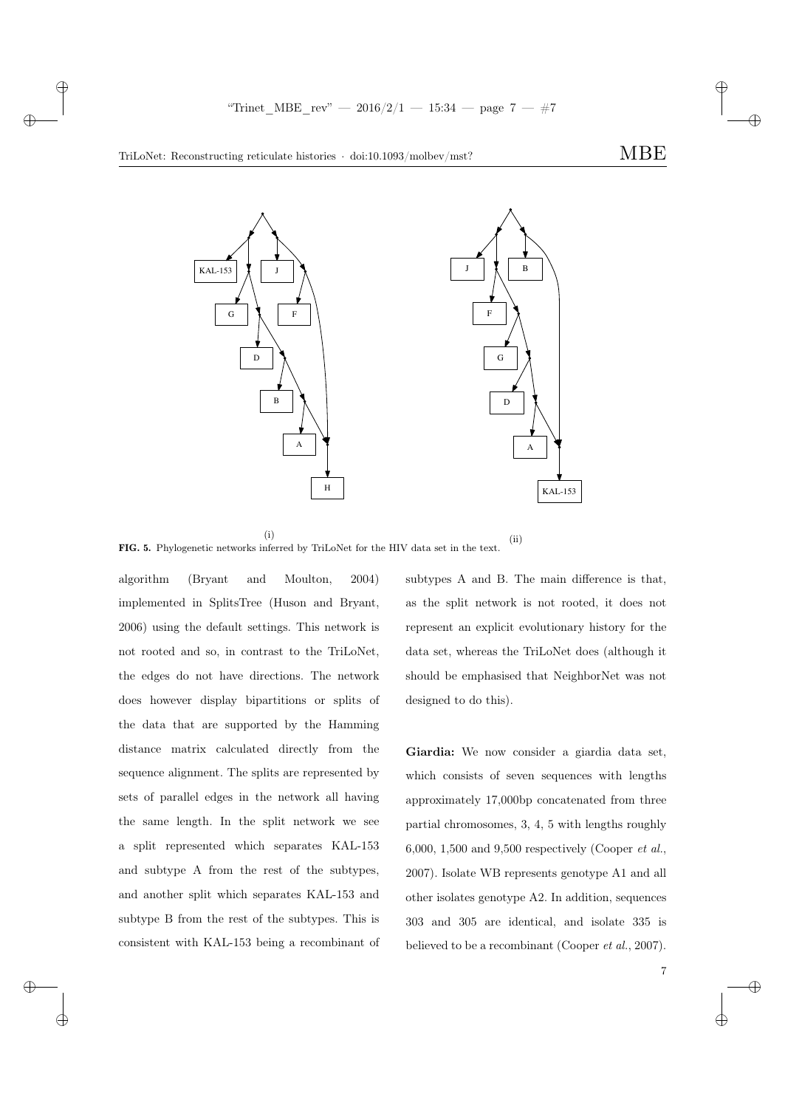✐

✐

7

✐

 $\rightarrow$ 

 $\rightarrow$ 

 $\oplus$ 

✐



(i)

(ii) FIG. 5. Phylogenetic networks inferred by TriLoNet for the HIV data set in the text.

algorithm (Bryant and Moulton, 2004) implemented in SplitsTree (Huson and Bryant, 2006) using the default settings. This network is not rooted and so, in contrast to the TriLoNet, the edges do not have directions. The network does however display bipartitions or splits of the data that are supported by the Hamming distance matrix calculated directly from the sequence alignment. The splits are represented by sets of parallel edges in the network all having the same length. In the split network we see a split represented which separates KAL-153 and subtype A from the rest of the subtypes, and another split which separates KAL-153 and subtype B from the rest of the subtypes. This is consistent with KAL-153 being a recombinant of subtypes A and B. The main difference is that, as the split network is not rooted, it does not represent an explicit evolutionary history for the data set, whereas the TriLoNet does (although it should be emphasised that NeighborNet was not designed to do this).

Giardia: We now consider a giardia data set, which consists of seven sequences with lengths approximately 17,000bp concatenated from three partial chromosomes, 3, 4, 5 with lengths roughly 6,000, 1,500 and 9,500 respectively (Cooper  $et al.$ ) 2007). Isolate WB represents genotype A1 and all other isolates genotype A2. In addition, sequences 303 and 305 are identical, and isolate 335 is believed to be a recombinant (Cooper et al., 2007).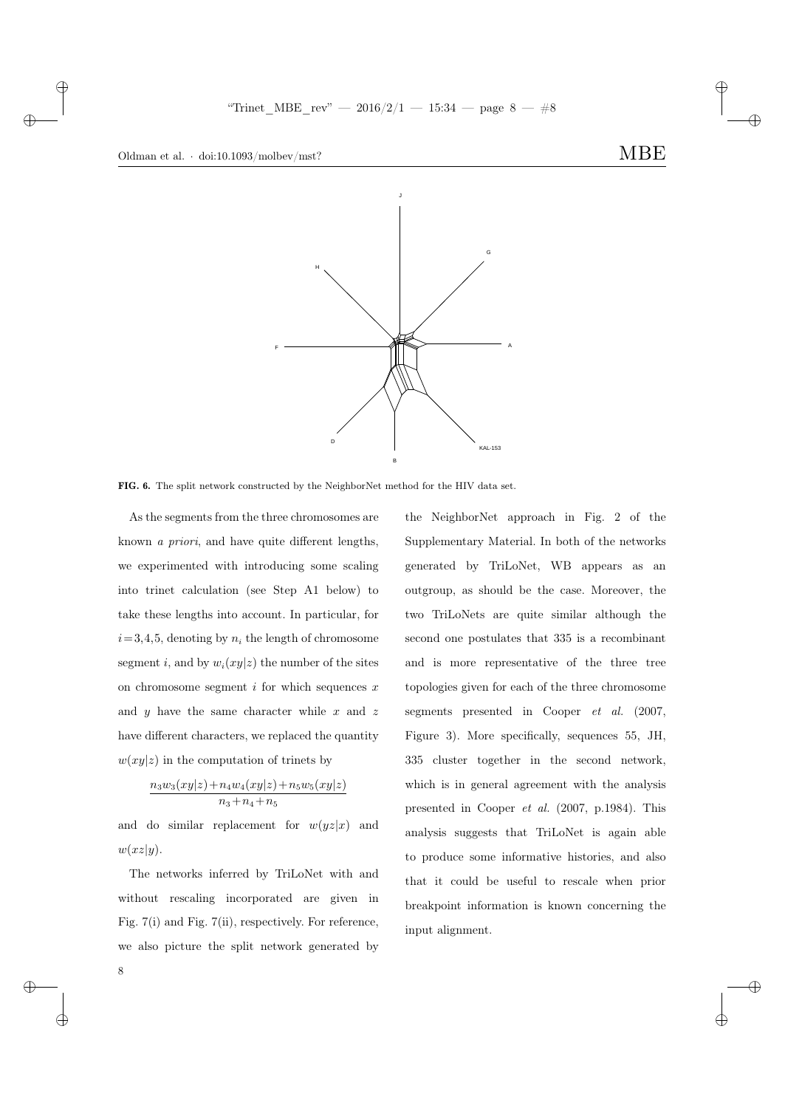$\rightarrow$ 

 $\oplus$ 

8

✐



FIG. 6. The split network constructed by the NeighborNet method for the HIV data set.

As the segments from the three chromosomes are known a priori, and have quite different lengths, we experimented with introducing some scaling into trinet calculation (see Step A1 below) to take these lengths into account. In particular, for  $i= 3,4,5$ , denoting by  $n_i$  the length of chromosome segment i, and by  $w_i(xy|z)$  the number of the sites on chromosome segment  $i$  for which sequences  $x$ and  $y$  have the same character while  $x$  and  $z$ have different characters, we replaced the quantity  $w(xy|z)$  in the computation of trinets by

$$
\frac{n_3w_3(xy|z) + n_4w_4(xy|z) + n_5w_5(xy|z)}{n_3 + n_4 + n_5}
$$

and do similar replacement for  $w(yz|x)$  and  $w(xz|y)$ .

The networks inferred by TriLoNet with and without rescaling incorporated are given in Fig. 7(i) and Fig. 7(ii), respectively. For reference, we also picture the split network generated by

the NeighborNet approach in Fig. 2 of the Supplementary Material. In both of the networks generated by TriLoNet, WB appears as an outgroup, as should be the case. Moreover, the two TriLoNets are quite similar although the second one postulates that 335 is a recombinant and is more representative of the three tree topologies given for each of the three chromosome segments presented in Cooper et al. (2007, Figure 3). More specifically, sequences 55, JH, 335 cluster together in the second network, which is in general agreement with the analysis presented in Cooper et al. (2007, p.1984). This analysis suggests that TriLoNet is again able to produce some informative histories, and also that it could be useful to rescale when prior breakpoint information is known concerning the input alignment.

✐

✐

✐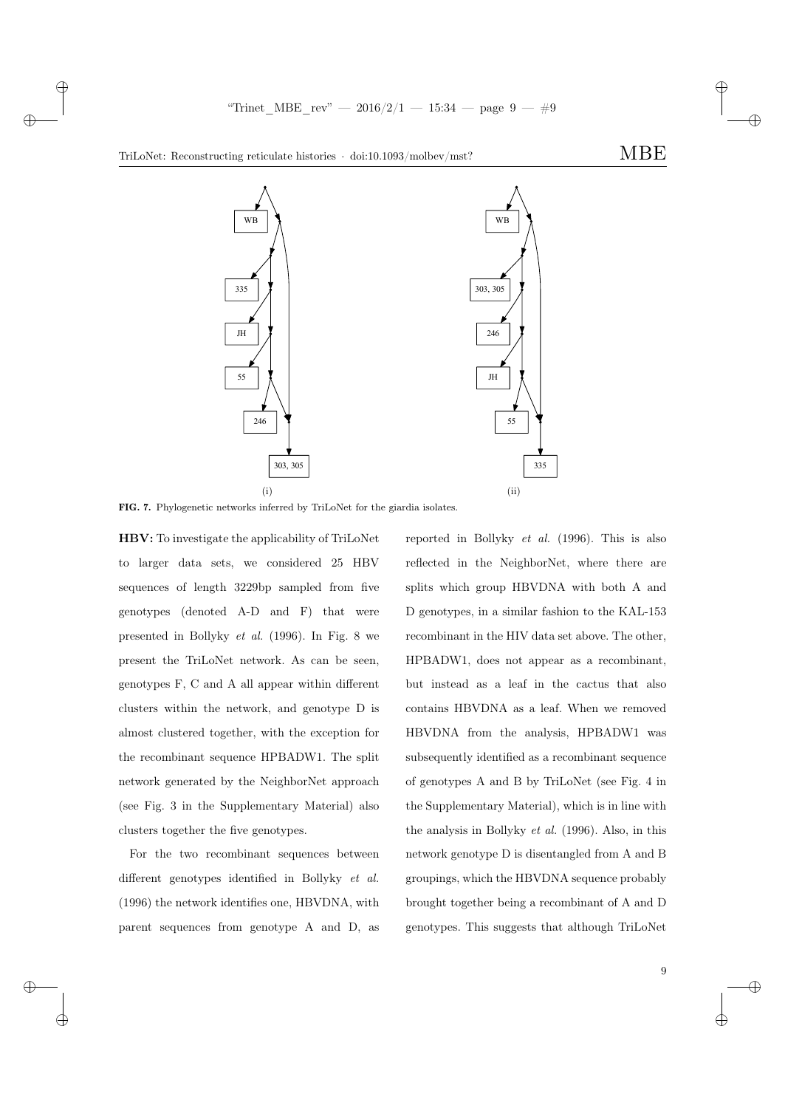✐

 $\rightarrow$ 

 $\rightarrow$ 

 $\oplus$ 

✐



FIG. 7. Phylogenetic networks inferred by TriLoNet for the giardia isolates.

HBV: To investigate the applicability of TriLoNet to larger data sets, we considered 25 HBV sequences of length 3229bp sampled from five genotypes (denoted A-D and F) that were presented in Bollyky et al. (1996). In Fig. 8 we present the TriLoNet network. As can be seen, genotypes F, C and A all appear within different clusters within the network, and genotype D is almost clustered together, with the exception for the recombinant sequence HPBADW1. The split network generated by the NeighborNet approach (see Fig. 3 in the Supplementary Material) also clusters together the five genotypes.

For the two recombinant sequences between different genotypes identified in Bollyky et al. (1996) the network identifies one, HBVDNA, with parent sequences from genotype A and D, as reported in Bollyky et al. (1996). This is also reflected in the NeighborNet, where there are splits which group HBVDNA with both A and D genotypes, in a similar fashion to the KAL-153 recombinant in the HIV data set above. The other, HPBADW1, does not appear as a recombinant, but instead as a leaf in the cactus that also contains HBVDNA as a leaf. When we removed HBVDNA from the analysis, HPBADW1 was subsequently identified as a recombinant sequence of genotypes A and B by TriLoNet (see Fig. 4 in the Supplementary Material), which is in line with the analysis in Bollyky et al. (1996). Also, in this network genotype D is disentangled from A and B groupings, which the HBVDNA sequence probably brought together being a recombinant of A and D genotypes. This suggests that although TriLoNet

9

✐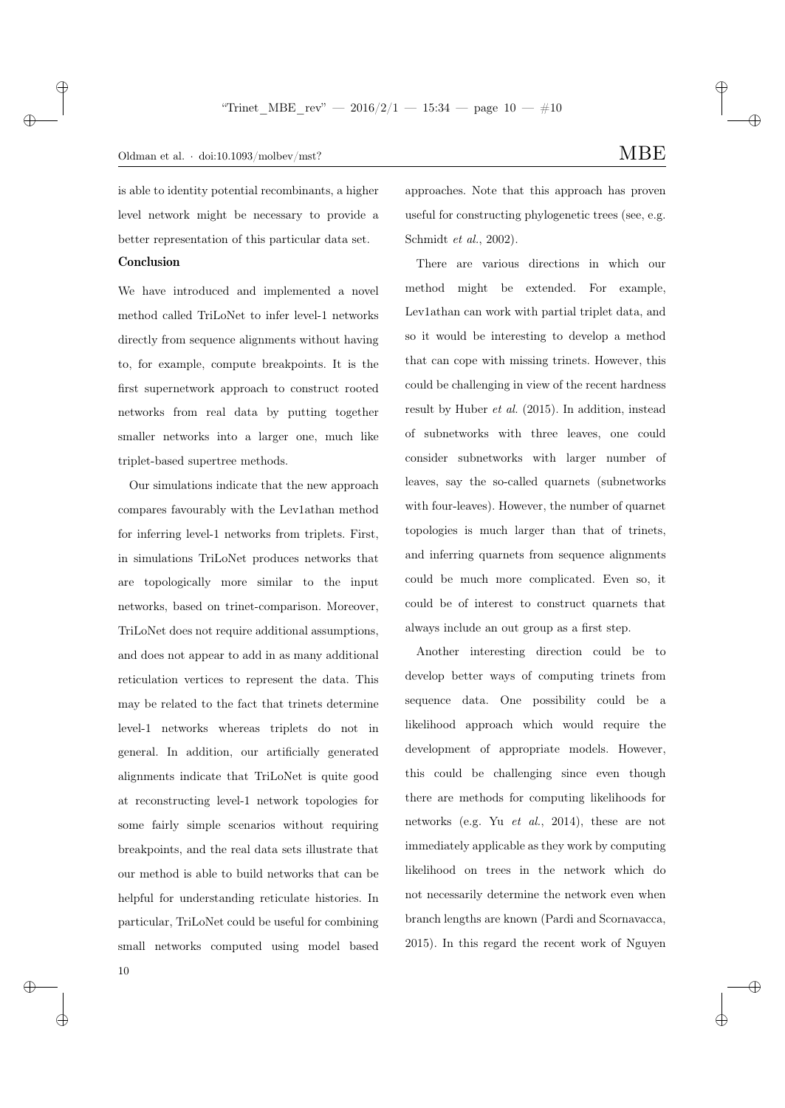is able to identity potential recombinants, a higher level network might be necessary to provide a better representation of this particular data set.

## Conclusion

 $\rightarrow$ 

✐

We have introduced and implemented a novel method called TriLoNet to infer level-1 networks directly from sequence alignments without having to, for example, compute breakpoints. It is the first supernetwork approach to construct rooted networks from real data by putting together smaller networks into a larger one, much like triplet-based supertree methods.

Our simulations indicate that the new approach compares favourably with the Lev1athan method for inferring level-1 networks from triplets. First, in simulations TriLoNet produces networks that are topologically more similar to the input networks, based on trinet-comparison. Moreover, TriLoNet does not require additional assumptions, and does not appear to add in as many additional reticulation vertices to represent the data. This may be related to the fact that trinets determine level-1 networks whereas triplets do not in general. In addition, our artificially generated alignments indicate that TriLoNet is quite good at reconstructing level-1 network topologies for some fairly simple scenarios without requiring breakpoints, and the real data sets illustrate that our method is able to build networks that can be helpful for understanding reticulate histories. In particular, TriLoNet could be useful for combining small networks computed using model based approaches. Note that this approach has proven useful for constructing phylogenetic trees (see, e.g. Schmidt et al., 2002).

There are various directions in which our method might be extended. For example, Lev1athan can work with partial triplet data, and so it would be interesting to develop a method that can cope with missing trinets. However, this could be challenging in view of the recent hardness result by Huber et al. (2015). In addition, instead of subnetworks with three leaves, one could consider subnetworks with larger number of leaves, say the so-called quarnets (subnetworks with four-leaves). However, the number of quarnet topologies is much larger than that of trinets, and inferring quarnets from sequence alignments could be much more complicated. Even so, it could be of interest to construct quarnets that always include an out group as a first step.

Another interesting direction could be to develop better ways of computing trinets from sequence data. One possibility could be a likelihood approach which would require the development of appropriate models. However, this could be challenging since even though there are methods for computing likelihoods for networks (e.g. Yu et al., 2014), these are not immediately applicable as they work by computing likelihood on trees in the network which do not necessarily determine the network even when branch lengths are known (Pardi and Scornavacca, 2015). In this regard the recent work of Nguyen

✐

✐

✐

✐

10

 $\rightarrow$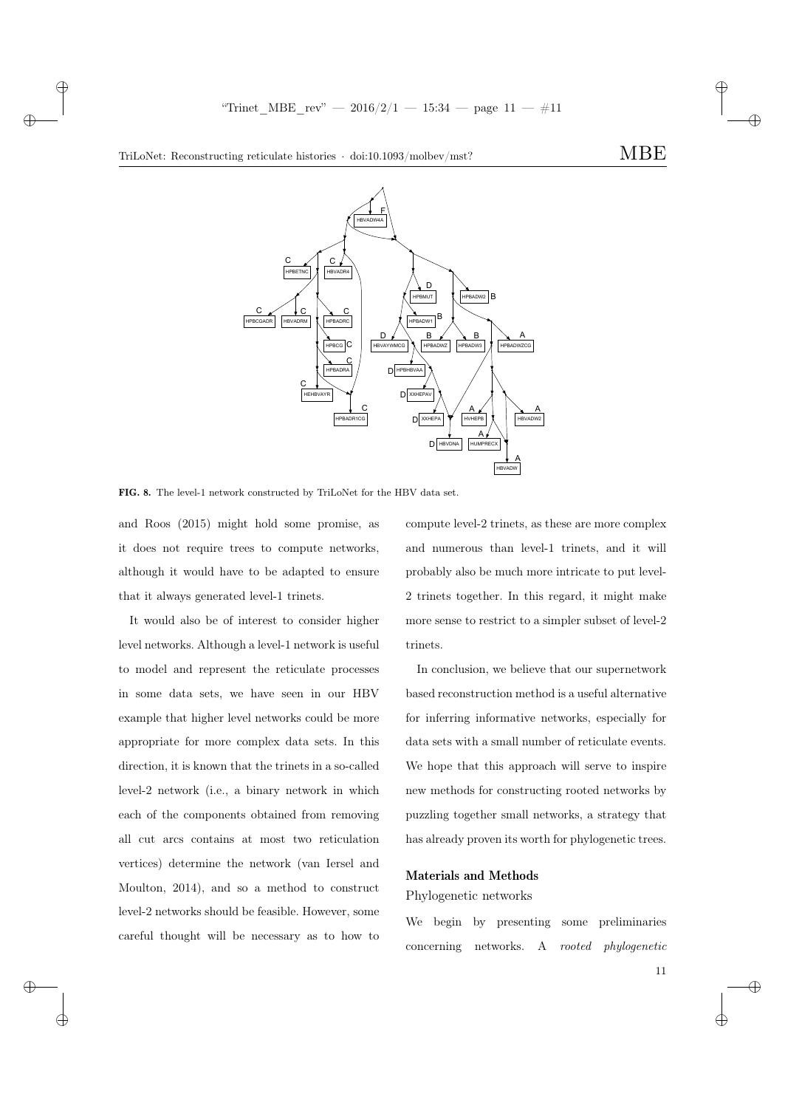✐



 $\rightarrow$ 

 $\rightarrow$ 

✐

✐



FIG. 8. The level-1 network constructed by TriLoNet for the HBV data set.

and Roos (2015) might hold some promise, as it does not require trees to compute networks, although it would have to be adapted to ensure that it always generated level-1 trinets.

It would also be of interest to consider higher level networks. Although a level-1 network is useful to model and represent the reticulate processes in some data sets, we have seen in our HBV example that higher level networks could be more appropriate for more complex data sets. In this direction, it is known that the trinets in a so-called level-2 network (i.e., a binary network in which each of the components obtained from removing all cut arcs contains at most two reticulation vertices) determine the network (van Iersel and Moulton, 2014), and so a method to construct level-2 networks should be feasible. However, some careful thought will be necessary as to how to compute level-2 trinets, as these are more complex and numerous than level-1 trinets, and it will probably also be much more intricate to put level-2 trinets together. In this regard, it might make more sense to restrict to a simpler subset of level-2 trinets.

In conclusion, we believe that our supernetwork based reconstruction method is a useful alternative for inferring informative networks, especially for data sets with a small number of reticulate events. We hope that this approach will serve to inspire new methods for constructing rooted networks by puzzling together small networks, a strategy that has already proven its worth for phylogenetic trees.

# Materials and Methods

## Phylogenetic networks

We begin by presenting some preliminaries concerning networks. A rooted phylogenetic

✐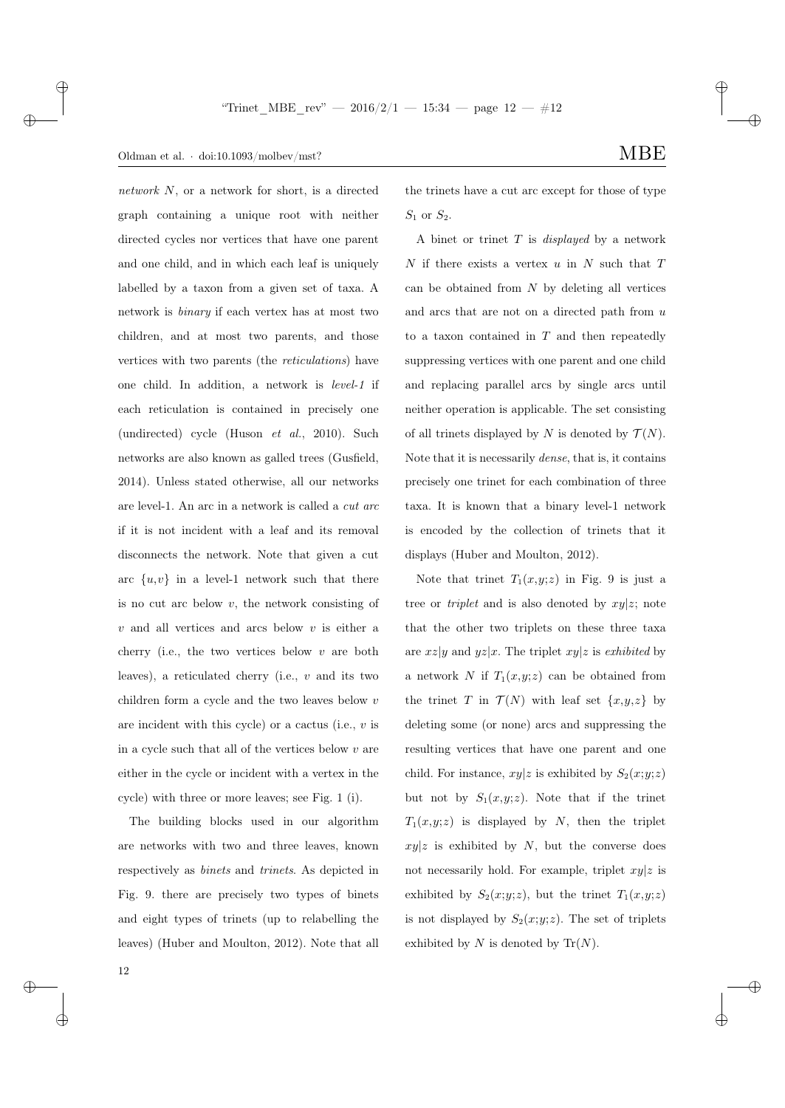## Oldman et al.  $\cdot$  doi:10.1093/molbev/mst? MBE

network N, or a network for short, is a directed graph containing a unique root with neither directed cycles nor vertices that have one parent and one child, and in which each leaf is uniquely labelled by a taxon from a given set of taxa. A network is binary if each vertex has at most two children, and at most two parents, and those vertices with two parents (the reticulations) have one child. In addition, a network is level-1 if each reticulation is contained in precisely one (undirected) cycle (Huson et al., 2010). Such networks are also known as galled trees (Gusfield, 2014). Unless stated otherwise, all our networks are level-1. An arc in a network is called a cut arc if it is not incident with a leaf and its removal disconnects the network. Note that given a cut arc  $\{u, v\}$  in a level-1 network such that there is no cut arc below  $v$ , the network consisting of  $v$  and all vertices and arcs below  $v$  is either a cherry (i.e., the two vertices below  $v$  are both leaves), a reticulated cherry (i.e.,  $v$  and its two children form a cycle and the two leaves below v are incident with this cycle) or a cactus (i.e.,  $v$  is in a cycle such that all of the vertices below  $v$  are either in the cycle or incident with a vertex in the cycle) with three or more leaves; see Fig. 1 (i).

The building blocks used in our algorithm are networks with two and three leaves, known respectively as binets and trinets. As depicted in Fig. 9. there are precisely two types of binets and eight types of trinets (up to relabelling the leaves) (Huber and Moulton, 2012). Note that all ✐

✐

the trinets have a cut arc except for those of type  $S_1$  or  $S_2$ .

A binet or trinet  $T$  is *displayed* by a network  $N$  if there exists a vertex  $u$  in  $N$  such that  $T$ can be obtained from  $N$  by deleting all vertices and arcs that are not on a directed path from u to a taxon contained in  $T$  and then repeatedly suppressing vertices with one parent and one child and replacing parallel arcs by single arcs until neither operation is applicable. The set consisting of all trinets displayed by N is denoted by  $\mathcal{T}(N)$ . Note that it is necessarily dense, that is, it contains precisely one trinet for each combination of three taxa. It is known that a binary level-1 network is encoded by the collection of trinets that it displays (Huber and Moulton, 2012).

Note that trinet  $T_1(x,y;z)$  in Fig. 9 is just a tree or *triplet* and is also denoted by  $xy|z$ ; note that the other two triplets on these three taxa are  $xz|y$  and  $yz|x$ . The triplet  $xy|z$  is exhibited by a network N if  $T_1(x,y;z)$  can be obtained from the trinet T in  $\mathcal{T}(N)$  with leaf set  $\{x,y,z\}$  by deleting some (or none) arcs and suppressing the resulting vertices that have one parent and one child. For instance,  $xy|z$  is exhibited by  $S_2(x; y; z)$ but not by  $S_1(x,y;z)$ . Note that if the trinet  $T_1(x,y;z)$  is displayed by N, then the triplet  $xy|z$  is exhibited by N, but the converse does not necessarily hold. For example, triplet  $xy|z$  is exhibited by  $S_2(x; y; z)$ , but the trinet  $T_1(x,y; z)$ is not displayed by  $S_2(x; y; z)$ . The set of triplets exhibited by  $N$  is denoted by  $\text{Tr}(N)$ .

 $\rightarrow$ 

 $\oplus$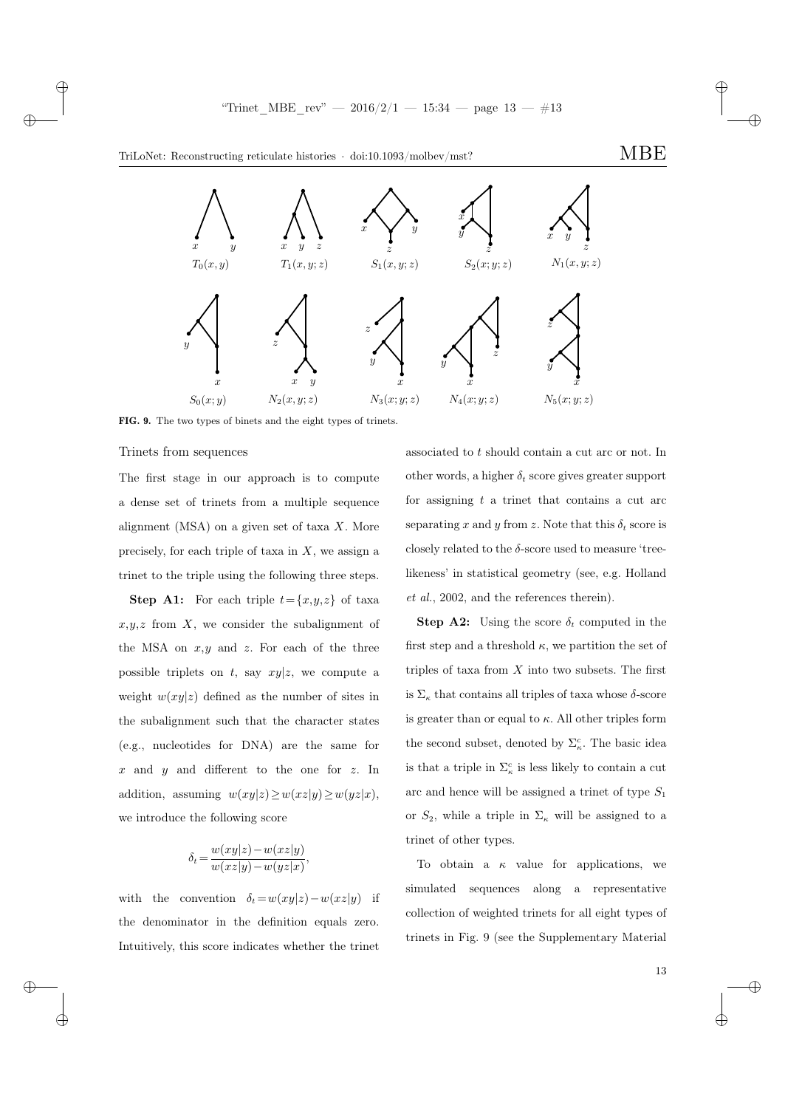"Trinet\_MBE\_rev" —  $2016/2/1$  —  $15:34$  — page  $13 - #13$ 

✐

✐





FIG. 9. The two types of binets and the eight types of trinets.

#### Trinets from sequences

 $\rightarrow$ 

 $\rightarrow$ 

 $\oplus$ 

✐

The first stage in our approach is to compute a dense set of trinets from a multiple sequence alignment (MSA) on a given set of taxa  $X$ . More precisely, for each triple of taxa in  $X$ , we assign a trinet to the triple using the following three steps.

**Step A1:** For each triple  $t = \{x, y, z\}$  of taxa  $x,y,z$  from  $X$ , we consider the subalignment of the MSA on  $x, y$  and  $z$ . For each of the three possible triplets on t, say  $xy|z$ , we compute a weight  $w(xy|z)$  defined as the number of sites in the subalignment such that the character states (e.g., nucleotides for DNA) are the same for  $x$  and  $y$  and different to the one for  $z$ . In addition, assuming  $w(xy|z) \geq w(xz|y) \geq w(yz|x)$ , we introduce the following score

$$
\delta_t = \frac{w(xy|z) - w(xz|y)}{w(xz|y) - w(yz|x)}
$$

,

with the convention  $\delta_t = w(xy|z) - w(xz|y)$  if the denominator in the definition equals zero. Intuitively, this score indicates whether the trinet

associated to t should contain a cut arc or not. In other words, a higher  $\delta_t$  score gives greater support for assigning  $t$  a trinet that contains a cut arc separating x and y from z. Note that this  $\delta_t$  score is closely related to the  $\delta$ -score used to measure 'treelikeness' in statistical geometry (see, e.g. Holland et al., 2002, and the references therein).

**Step A2:** Using the score  $\delta_t$  computed in the first step and a threshold  $\kappa$ , we partition the set of triples of taxa from  $X$  into two subsets. The first is  $\Sigma_{\kappa}$  that contains all triples of taxa whose  $\delta$ -score is greater than or equal to  $\kappa$ . All other triples form the second subset, denoted by  $\Sigma_{\kappa}^{c}$ . The basic idea is that a triple in  $\Sigma_{\kappa}^c$  is less likely to contain a cut arc and hence will be assigned a trinet of type  $S_1$ or  $S_2$ , while a triple in  $\Sigma_{\kappa}$  will be assigned to a trinet of other types.

To obtain a  $\kappa$  value for applications, we simulated sequences along a representative collection of weighted trinets for all eight types of trinets in Fig. 9 (see the Supplementary Material

✐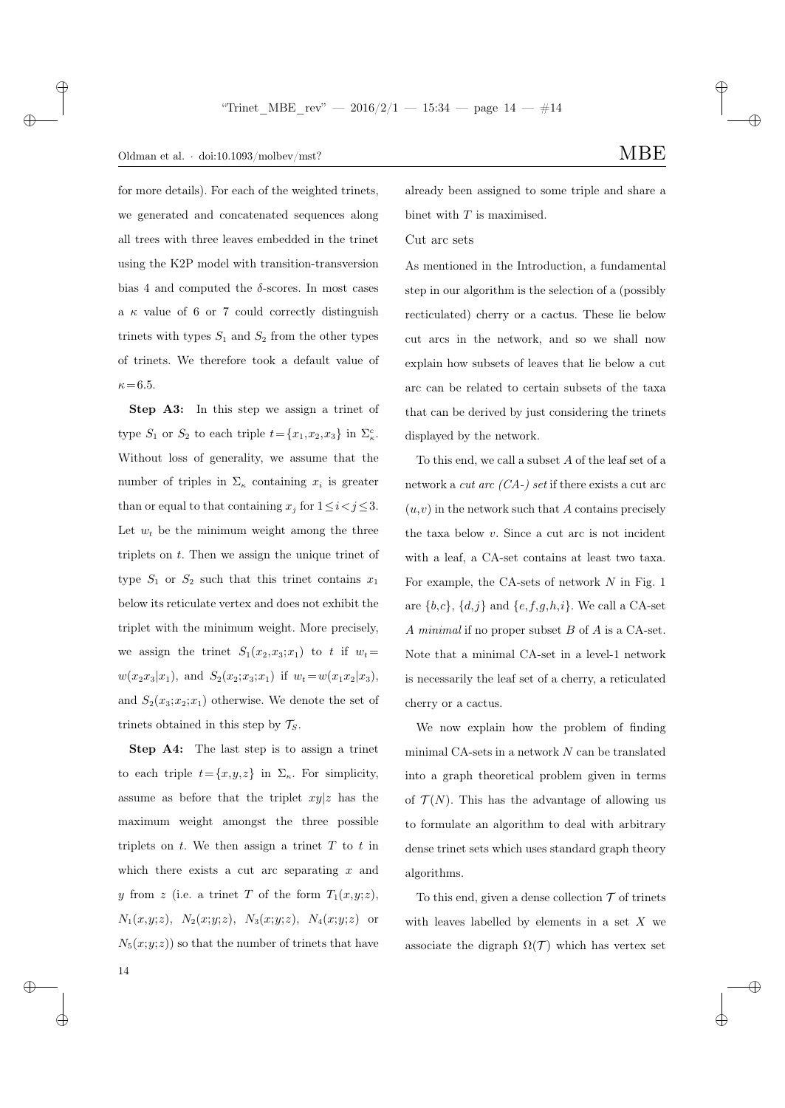## Oldman et al.  $\cdot$  doi:10.1093/molbev/mst? MBE

 $\rightarrow$ 

✐

for more details). For each of the weighted trinets, we generated and concatenated sequences along all trees with three leaves embedded in the trinet using the K2P model with transition-transversion bias 4 and computed the  $\delta$ -scores. In most cases a  $\kappa$  value of 6 or 7 could correctly distinguish trinets with types  $S_1$  and  $S_2$  from the other types of trinets. We therefore took a default value of  $\kappa = 6.5$ .

Step A3: In this step we assign a trinet of type  $S_1$  or  $S_2$  to each triple  $t = \{x_1, x_2, x_3\}$  in  $\Sigma_{\kappa}^c$ . Without loss of generality, we assume that the number of triples in  $\Sigma_{\kappa}$  containing  $x_i$  is greater than or equal to that containing  $x_j$  for  $1 \le i < j \le 3$ . Let  $w_t$  be the minimum weight among the three triplets on  $t$ . Then we assign the unique trinet of type  $S_1$  or  $S_2$  such that this trinet contains  $x_1$ below its reticulate vertex and does not exhibit the triplet with the minimum weight. More precisely, we assign the trinet  $S_1(x_2,x_3;x_1)$  to t if  $w_t =$  $w(x_2x_3|x_1)$ , and  $S_2(x_2;x_3;x_1)$  if  $w_t = w(x_1x_2|x_3)$ , and  $S_2(x_3; x_2; x_1)$  otherwise. We denote the set of trinets obtained in this step by  $\mathcal{T}_S$ .

Step A4: The last step is to assign a trinet to each triple  $t = \{x, y, z\}$  in  $\Sigma_{\kappa}$ . For simplicity, assume as before that the triplet  $xy|z$  has the maximum weight amongst the three possible triplets on  $t$ . We then assign a trinet  $T$  to  $t$  in which there exists a cut arc separating  $x$  and y from z (i.e. a trinet T of the form  $T_1(x,y;z)$ ,  $N_1(x,y;z), N_2(x;y;z), N_3(x;y;z), N_4(x;y;z)$  or  $N_5(x; y; z)$  so that the number of trinets that have ✐

✐

already been assigned to some triple and share a binet with  $T$  is maximised.

### Cut arc sets

As mentioned in the Introduction, a fundamental step in our algorithm is the selection of a (possibly recticulated) cherry or a cactus. These lie below cut arcs in the network, and so we shall now explain how subsets of leaves that lie below a cut arc can be related to certain subsets of the taxa that can be derived by just considering the trinets displayed by the network.

To this end, we call a subset A of the leaf set of a network a *cut arc*  $(CA-)$  *set* if there exists a cut arc  $(u, v)$  in the network such that A contains precisely the taxa below  $v$ . Since a cut arc is not incident with a leaf, a CA-set contains at least two taxa. For example, the CA-sets of network  $N$  in Fig. 1 are  $\{b,c\}$ ,  $\{d,j\}$  and  $\{e,f,g,h,i\}$ . We call a CA-set A minimal if no proper subset B of A is a CA-set. Note that a minimal CA-set in a level-1 network is necessarily the leaf set of a cherry, a reticulated cherry or a cactus.

We now explain how the problem of finding minimal CA-sets in a network  $N$  can be translated into a graph theoretical problem given in terms of  $\mathcal{T}(N)$ . This has the advantage of allowing us to formulate an algorithm to deal with arbitrary dense trinet sets which uses standard graph theory algorithms.

To this end, given a dense collection  $\mathcal T$  of trinets with leaves labelled by elements in a set  $X$  we associate the digraph  $\Omega(\mathcal{T})$  which has vertex set

14

 $\rightarrow$ 

 $\oplus$ 

✐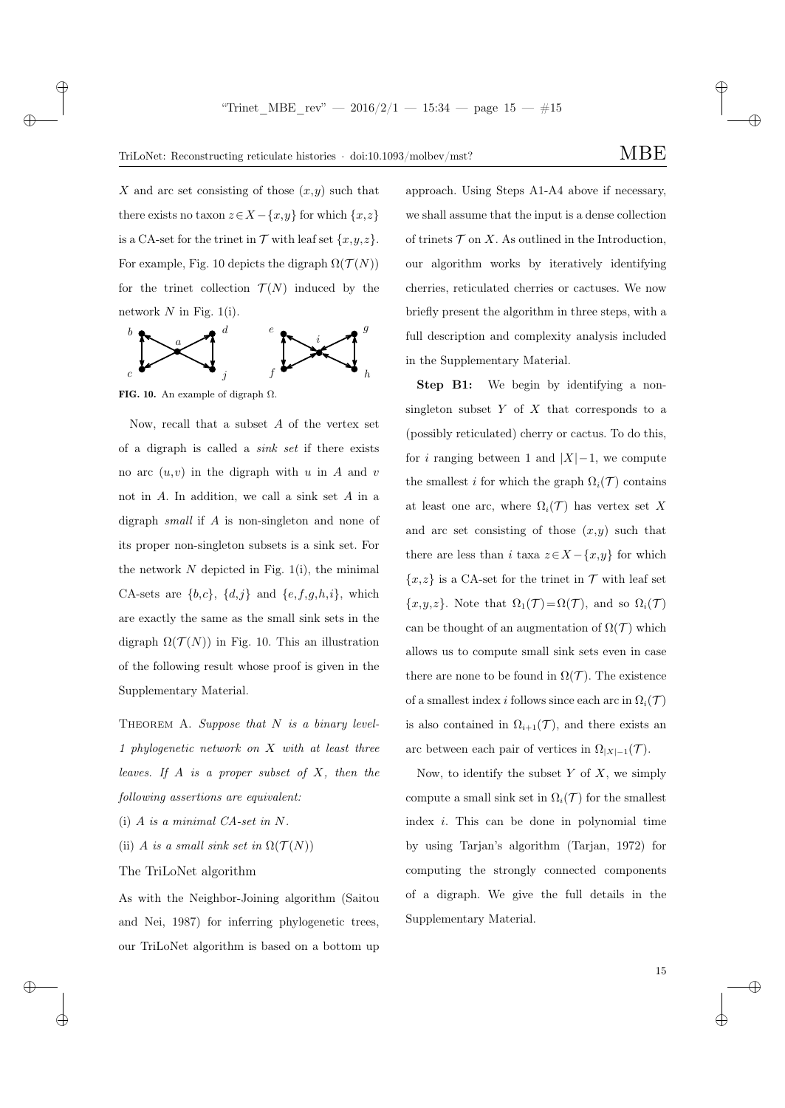✐

X and arc set consisting of those  $(x, y)$  such that there exists no taxon  $z \in X - \{x, y\}$  for which  $\{x, z\}$ is a CA-set for the trinet in  $\mathcal T$  with leaf set  $\{x,y,z\}$ . For example, Fig. 10 depicts the digraph  $\Omega(\mathcal{T}(N))$ for the trinet collection  $\mathcal{T}(N)$  induced by the network  $N$  in Fig. 1(i).



FIG. 10. An example of digraph  $\Omega$ .

 $\rightarrow$ 

 $\rightarrow$ 

 $\oplus$ 

✐

Now, recall that a subset A of the vertex set of a digraph is called a sink set if there exists no arc  $(u, v)$  in the digraph with u in A and v not in A. In addition, we call a sink set A in a digraph small if A is non-singleton and none of its proper non-singleton subsets is a sink set. For the network  $N$  depicted in Fig. 1(i), the minimal CA-sets are  $\{b,c\}$ ,  $\{d,j\}$  and  $\{e,f,g,h,i\}$ , which are exactly the same as the small sink sets in the digraph  $\Omega(\mathcal{T}(N))$  in Fig. 10. This an illustration of the following result whose proof is given in the Supplementary Material.

THEOREM A. Suppose that  $N$  is a binary level-1 phylogenetic network on X with at least three leaves. If  $A$  is a proper subset of  $X$ , then the following assertions are equivalent:

- (i)  $A$  is a minimal  $CA\text{-}set$  in  $N$ .
- (ii) A is a small sink set in  $\Omega(\mathcal{T}(N))$
- The TriLoNet algorithm

As with the Neighbor-Joining algorithm (Saitou and Nei, 1987) for inferring phylogenetic trees, our TriLoNet algorithm is based on a bottom up

approach. Using Steps A1-A4 above if necessary, we shall assume that the input is a dense collection of trinets  $\mathcal T$  on X. As outlined in the Introduction, our algorithm works by iteratively identifying cherries, reticulated cherries or cactuses. We now briefly present the algorithm in three steps, with a full description and complexity analysis included in the Supplementary Material.

Step B1: We begin by identifying a nonsingleton subset  $Y$  of  $X$  that corresponds to a (possibly reticulated) cherry or cactus. To do this, for *i* ranging between 1 and  $|X|$ –1, we compute the smallest i for which the graph  $\Omega_i(\mathcal{T})$  contains at least one arc, where  $\Omega_i(\mathcal{T})$  has vertex set X and arc set consisting of those  $(x,y)$  such that there are less than i taxa  $z \in X - \{x, y\}$  for which  ${x,z}$  is a CA-set for the trinet in  $\mathcal T$  with leaf set  ${x,y,z}$ . Note that  $\Omega_1(\mathcal{T}) = \Omega(\mathcal{T})$ , and so  $\Omega_i(\mathcal{T})$ can be thought of an augmentation of  $\Omega(\mathcal{T})$  which allows us to compute small sink sets even in case there are none to be found in  $\Omega(\mathcal{T})$ . The existence of a smallest index i follows since each arc in  $\Omega_i(\mathcal{T})$ is also contained in  $\Omega_{i+1}(\mathcal{T})$ , and there exists an arc between each pair of vertices in  $\Omega_{|X|-1}(\mathcal{T})$ .

Now, to identify the subset  $Y$  of  $X$ , we simply compute a small sink set in  $\Omega_i(\mathcal{T})$  for the smallest index i. This can be done in polynomial time by using Tarjan's algorithm (Tarjan, 1972) for computing the strongly connected components of a digraph. We give the full details in the Supplementary Material.

✐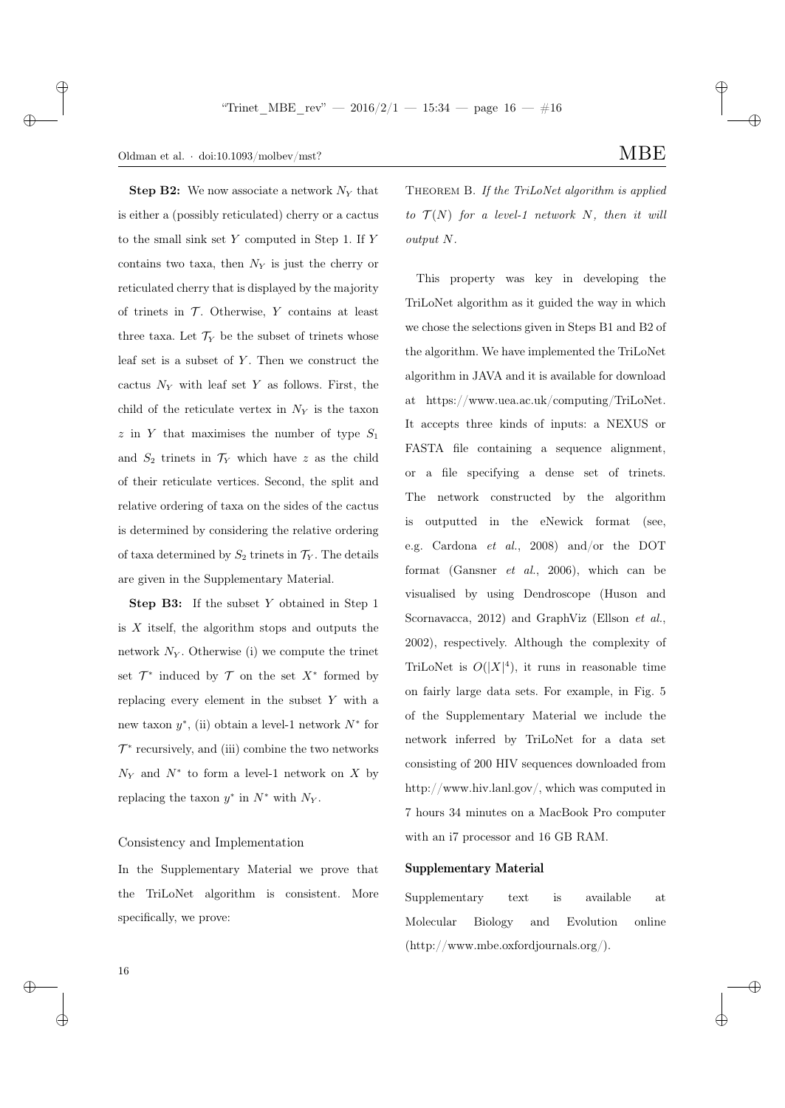## Oldman et al.  $\cdot$  doi:10.1093/molbev/mst? MBE

**Step B2:** We now associate a network  $N_Y$  that is either a (possibly reticulated) cherry or a cactus to the small sink set Y computed in Step 1. If Y contains two taxa, then  $N_Y$  is just the cherry or reticulated cherry that is displayed by the majority of trinets in  $\mathcal T$ . Otherwise, Y contains at least three taxa. Let  $\mathcal{T}_Y$  be the subset of trinets whose leaf set is a subset of  $Y$ . Then we construct the cactus  $N_Y$  with leaf set Y as follows. First, the child of the reticulate vertex in  $N_Y$  is the taxon  $z$  in Y that maximises the number of type  $S_1$ and  $S_2$  trinets in  $\mathcal{T}_Y$  which have z as the child of their reticulate vertices. Second, the split and relative ordering of taxa on the sides of the cactus is determined by considering the relative ordering of taxa determined by  $S_2$  trinets in  $\mathcal{T}_Y$ . The details are given in the Supplementary Material.

Step B3: If the subset Y obtained in Step 1 is  $X$  itself, the algorithm stops and outputs the network  $N_Y$ . Otherwise (i) we compute the trinet set  $\mathcal{T}^*$  induced by  $\mathcal T$  on the set  $X^*$  formed by replacing every element in the subset Y with a new taxon  $y^*$ , (ii) obtain a level-1 network  $N^*$  for  $\mathcal{T}^*$  recursively, and (iii) combine the two networks  $N_Y$  and  $N^*$  to form a level-1 network on X by replacing the taxon  $y^*$  in  $N^*$  with  $N_Y$ .

## Consistency and Implementation

In the Supplementary Material we prove that the TriLoNet algorithm is consistent. More specifically, we prove:

THEOREM B. If the TriLoNet algorithm is applied to  $\mathcal{T}(N)$  for a level-1 network N, then it will output N.

This property was key in developing the TriLoNet algorithm as it guided the way in which we chose the selections given in Steps B1 and B2 of the algorithm. We have implemented the TriLoNet algorithm in JAVA and it is available for download at https://www.uea.ac.uk/computing/TriLoNet. It accepts three kinds of inputs: a NEXUS or FASTA file containing a sequence alignment, or a file specifying a dense set of trinets. The network constructed by the algorithm is outputted in the eNewick format (see, e.g. Cardona et al., 2008) and/or the DOT format (Gansner  $et \ al., \ 2006$ ), which can be visualised by using Dendroscope (Huson and Scornavacca, 2012) and GraphViz (Ellson et al., 2002), respectively. Although the complexity of TriLoNet is  $O(|X|^4)$ , it runs in reasonable time on fairly large data sets. For example, in Fig. 5 of the Supplementary Material we include the network inferred by TriLoNet for a data set consisting of 200 HIV sequences downloaded from http://www.hiv.lanl.gov/, which was computed in 7 hours 34 minutes on a MacBook Pro computer with an i7 processor and 16 GB RAM.

## Supplementary Material

Supplementary text is available at Molecular Biology and Evolution online (http://www.mbe.oxfordjournals.org/).

✐

✐

 $\rightarrow$ 

 $\oplus$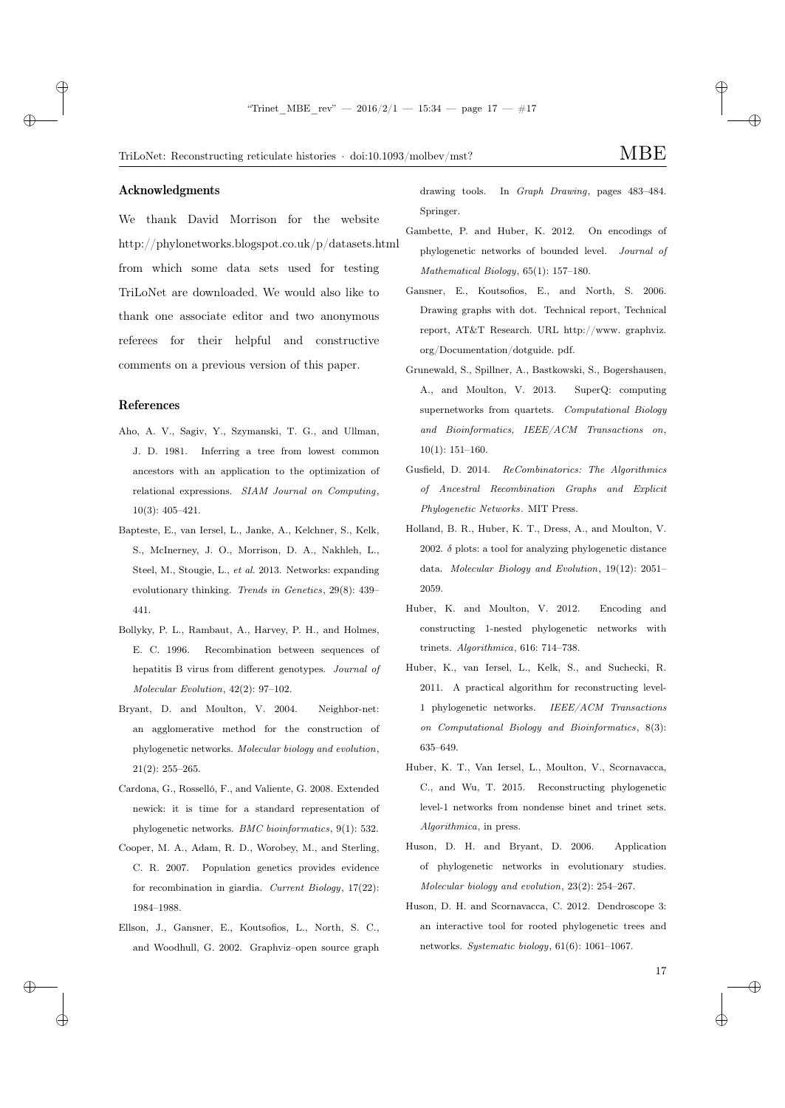✐

TriLoNet: Reconstructing reticulate histories  $\cdot$  doi:10.1093/molbev/mst? MBE

#### Acknowledgments

 $\rightarrow$ 

 $\rightarrow$ 

✐

✐

We thank David Morrison for the website http://phylonetworks.blogspot.co.uk/p/datasets.html from which some data sets used for testing TriLoNet are downloaded. We would also like to thank one associate editor and two anonymous referees for their helpful and constructive comments on a previous version of this paper.

#### References

- Aho, A. V., Sagiv, Y., Szymanski, T. G., and Ullman, J. D. 1981. Inferring a tree from lowest common ancestors with an application to the optimization of relational expressions. SIAM Journal on Computing, 10(3): 405–421.
- Bapteste, E., van Iersel, L., Janke, A., Kelchner, S., Kelk, S., McInerney, J. O., Morrison, D. A., Nakhleh, L., Steel, M., Stougie, L., et al. 2013. Networks: expanding evolutionary thinking. Trends in Genetics, 29(8): 439– 441.
- Bollyky, P. L., Rambaut, A., Harvey, P. H., and Holmes, E. C. 1996. Recombination between sequences of hepatitis B virus from different genotypes. Journal of Molecular Evolution, 42(2): 97–102.
- Bryant, D. and Moulton, V. 2004. Neighbor-net: an agglomerative method for the construction of phylogenetic networks. Molecular biology and evolution, 21(2): 255–265.
- Cardona, G., Rosselló, F., and Valiente, G. 2008. Extended newick: it is time for a standard representation of phylogenetic networks. BMC bioinformatics, 9(1): 532.
- Cooper, M. A., Adam, R. D., Worobey, M., and Sterling, C. R. 2007. Population genetics provides evidence for recombination in giardia. Current Biology, 17(22): 1984–1988.
- Ellson, J., Gansner, E., Koutsofios, L., North, S. C., and Woodhull, G. 2002. Graphviz–open source graph

drawing tools. In Graph Drawing, pages 483–484. Springer.

- Gambette, P. and Huber, K. 2012. On encodings of phylogenetic networks of bounded level. Journal of Mathematical Biology, 65(1): 157–180.
- Gansner, E., Koutsofios, E., and North, S. 2006. Drawing graphs with dot. Technical report, Technical report, AT&T Research. URL http://www. graphviz. org/Documentation/dotguide. pdf.
- Grunewald, S., Spillner, A., Bastkowski, S., Bogershausen, A., and Moulton, V. 2013. SuperQ: computing supernetworks from quartets. Computational Biology and Bioinformatics, IEEE/ACM Transactions on, 10(1): 151–160.
- Gusfield, D. 2014. ReCombinatorics: The Algorithmics of Ancestral Recombination Graphs and Explicit Phylogenetic Networks. MIT Press.
- Holland, B. R., Huber, K. T., Dress, A., and Moulton, V. 2002.  $\delta$  plots: a tool for analyzing phylogenetic distance data. Molecular Biology and Evolution, 19(12): 2051– 2059.
- Huber, K. and Moulton, V. 2012. Encoding and constructing 1-nested phylogenetic networks with trinets. Algorithmica, 616: 714–738.
- Huber, K., van Iersel, L., Kelk, S., and Suchecki, R. 2011. A practical algorithm for reconstructing level-1 phylogenetic networks. IEEE/ACM Transactions on Computational Biology and Bioinformatics, 8(3): 635–649.
- Huber, K. T., Van Iersel, L., Moulton, V., Scornavacca, C., and Wu, T. 2015. Reconstructing phylogenetic level-1 networks from nondense binet and trinet sets. Algorithmica, in press.
- Huson, D. H. and Bryant, D. 2006. Application of phylogenetic networks in evolutionary studies. Molecular biology and evolution, 23(2): 254–267.
- Huson, D. H. and Scornavacca, C. 2012. Dendroscope 3: an interactive tool for rooted phylogenetic trees and networks. Systematic biology, 61(6): 1061–1067.

17

✐